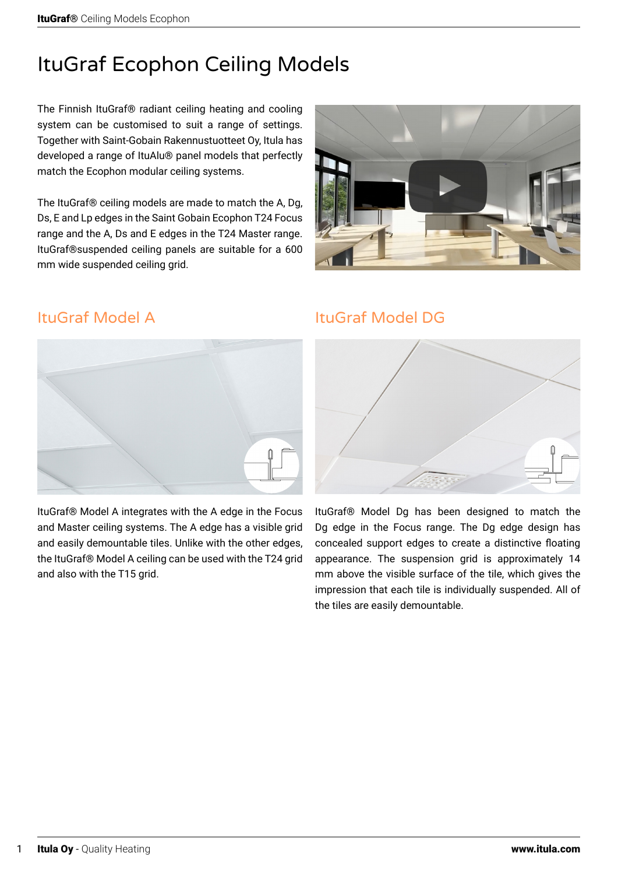# ItuGraf Ecophon Ceiling Models

The Finnish ItuGraf® radiant ceiling heating and cooling system can be customised to suit a range of settings. Together with Saint-Gobain Rakennustuotteet Oy, Itula has developed a range of ItuAlu® panel models that perfectly match the Ecophon modular ceiling systems.

The ItuGraf® ceiling models are made to match the A, Dg, Ds, E and Lp edges in the Saint Gobain Ecophon T24 Focus range and the A, Ds and E edges in the T24 Master range. ItuGraf®suspended ceiling panels are suitable for a 600 mm wide suspended ceiling grid.



## ItuGraf Model A



ItuGraf® Model A integrates with the A edge in the Focus and Master ceiling systems. The A edge has a visible grid and easily demountable tiles. Unlike with the other edges, the ItuGraf® Model A ceiling can be used with the T24 grid and also with the T15 grid.

## ItuGraf Model DG



ItuGraf® Model Dg has been designed to match the Dg edge in the Focus range. The Dg edge design has concealed support edges to create a distinctive floating appearance. The suspension grid is approximately 14 mm above the visible surface of the tile, which gives the impression that each tile is individually suspended. All of the tiles are easily demountable.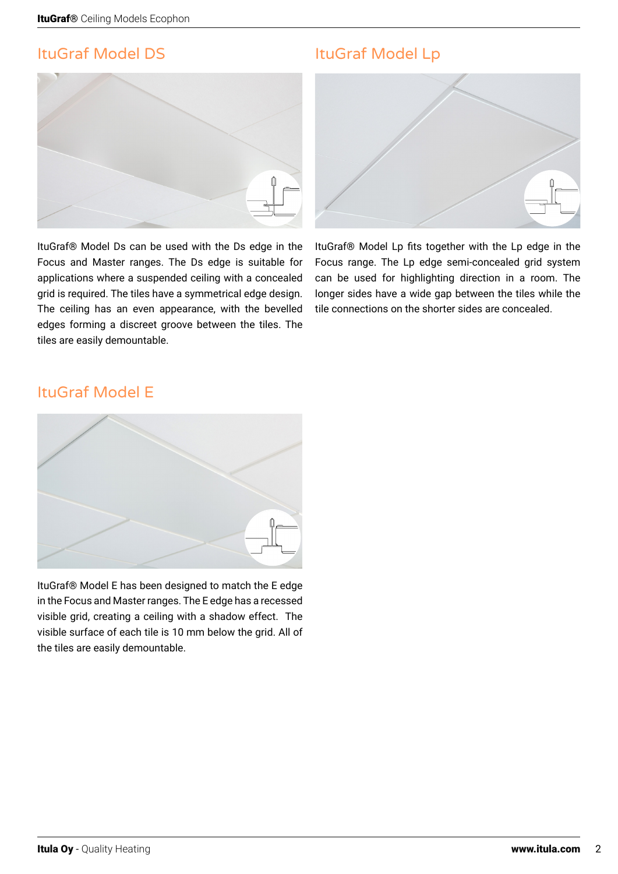# ItuGraf Model DS



ItuGraf® Model Ds can be used with the Ds edge in the Focus and Master ranges. The Ds edge is suitable for applications where a suspended ceiling with a concealed grid is required. The tiles have a symmetrical edge design. The ceiling has an even appearance, with the bevelled edges forming a discreet groove between the tiles. The tiles are easily demountable.

# ItuGraf Model Lp



ItuGraf® Model Lp fits together with the Lp edge in the Focus range. The Lp edge semi-concealed grid system can be used for highlighting direction in a room. The longer sides have a wide gap between the tiles while the tile connections on the shorter sides are concealed.

## ItuGraf Model E



ItuGraf® Model E has been designed to match the E edge in the Focus and Master ranges. The E edge has a recessed visible grid, creating a ceiling with a shadow effect. The visible surface of each tile is 10 mm below the grid. All of the tiles are easily demountable.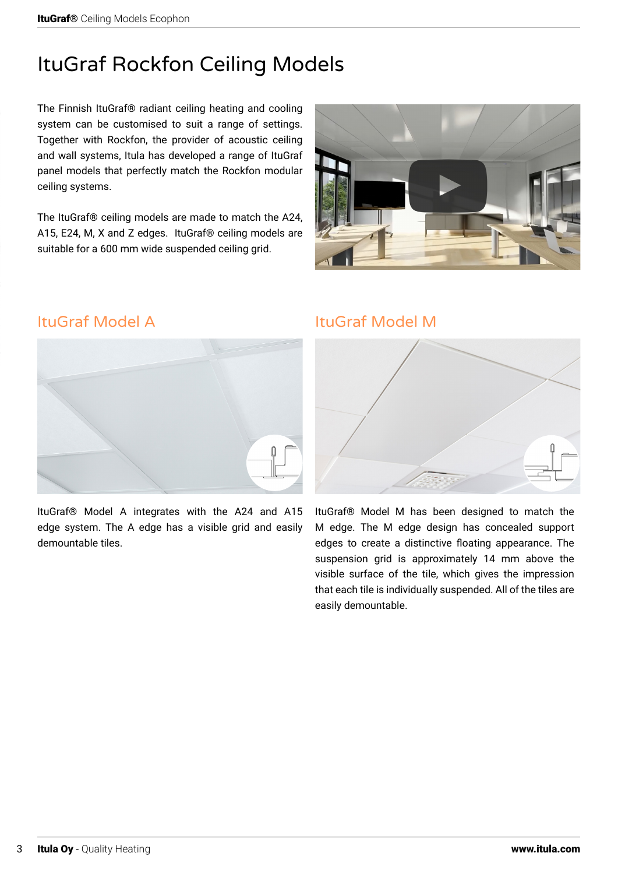# ItuGraf Rockfon Ceiling Models

The Finnish ItuGraf® radiant ceiling heating and cooling system can be customised to suit a range of settings. Together with Rockfon, the provider of acoustic ceiling and wall systems, Itula has developed a range of ItuGraf panel models that perfectly match the Rockfon modular ceiling systems.

The ItuGraf® ceiling models are made to match the A24, A15, E24, M, X and Z edges. ItuGraf® ceiling models are suitable for a 600 mm wide suspended ceiling grid.



## ItuGraf Model A



ItuGraf® Model A integrates with the A24 and A15 edge system. The A edge has a visible grid and easily demountable tiles.

### ItuGraf Model M



ItuGraf® Model M has been designed to match the M edge. The M edge design has concealed support edges to create a distinctive floating appearance. The suspension grid is approximately 14 mm above the visible surface of the tile, which gives the impression that each tile is individually suspended. All of the tiles are easily demountable.